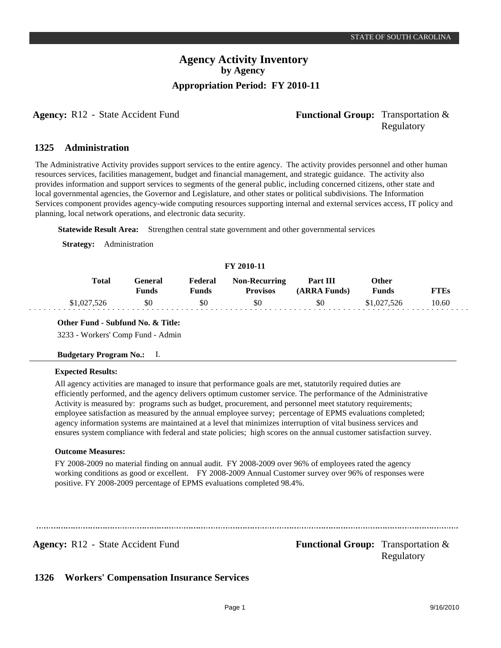### **Agency Activity Inventory by Agency Appropriation Period: FY 2010-11**

### **Agency:** R12 - State Accident Fund **Functional Group:** Transportation & Regulatory

#### **Administration 1325**

The Administrative Activity provides support services to the entire agency. The activity provides personnel and other human resources services, facilities management, budget and financial management, and strategic guidance. The activity also provides information and support services to segments of the general public, including concerned citizens, other state and local governmental agencies, the Governor and Legislature, and other states or political subdivisions. The Information Services component provides agency-wide computing resources supporting internal and external services access, IT policy and planning, local network operations, and electronic data security.

**Statewide Result Area:** Strengthen central state government and other governmental services

**Strategy:** Administration

### **FY 2010-11**

| <b>Total</b> | Feneral<br>Funds | Federal<br>Funds | <b>Non-Recurring</b><br><b>Provisos</b> | Part III<br>(ARRA Funds) | Other<br>Funds | "TEs  |
|--------------|------------------|------------------|-----------------------------------------|--------------------------|----------------|-------|
| \$1,027,526  | \$0              | \$0              | \$0                                     | \$0                      | \$1,027,526    | 10.60 |

### **Other Fund - Subfund No. & Title:**

3233 - Workers' Comp Fund - Admin

### **Budgetary Program No.:** I.

### **Expected Results:**

All agency activities are managed to insure that performance goals are met, statutorily required duties are efficiently performed, and the agency delivers optimum customer service. The performance of the Administrative Activity is measured by: programs such as budget, procurement, and personnel meet statutory requirements; employee satisfaction as measured by the annual employee survey; percentage of EPMS evaluations completed; agency information systems are maintained at a level that minimizes interruption of vital business services and ensures system compliance with federal and state policies; high scores on the annual customer satisfaction survey.

### **Outcome Measures:**

FY 2008-2009 no material finding on annual audit. FY 2008-2009 over 96% of employees rated the agency working conditions as good or excellent. FY 2008-2009 Annual Customer survey over 96% of responses were positive. FY 2008-2009 percentage of EPMS evaluations completed 98.4%.

**Agency:** R12 - State Accident Fund **Functional Group:** Transportation & Regulatory

#### **Workers' Compensation Insurance Services 1326**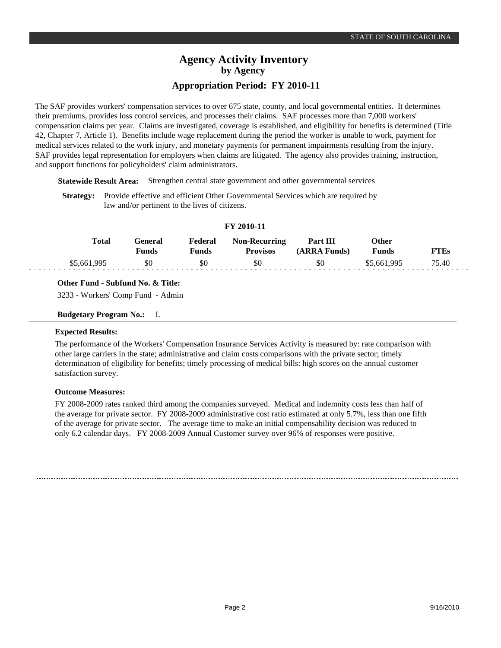### **Agency Activity Inventory by Agency Appropriation Period: FY 2010-11**

The SAF provides workers' compensation services to over 675 state, county, and local governmental entities. It determines their premiums, provides loss control services, and processes their claims. SAF processes more than 7,000 workers' compensation claims per year. Claims are investigated, coverage is established, and eligibility for benefits is determined (Title 42, Chapter 7, Article 1). Benefits include wage replacement during the period the worker is unable to work, payment for medical services related to the work injury, and monetary payments for permanent impairments resulting from the injury. SAF provides legal representation for employers when claims are litigated. The agency also provides training, instruction, and support functions for policyholders' claim administrators.

**Statewide Result Area:** Strengthen central state government and other governmental services

**Strategy:** Provide effective and efficient Other Governmental Services which are required by law and/or pertinent to the lives of citizens.

| <b>A</b> A A V A V A A |              |                  |                  |                                         |                          |                       |             |  |
|------------------------|--------------|------------------|------------------|-----------------------------------------|--------------------------|-----------------------|-------------|--|
|                        | <b>Total</b> | General<br>Funds | Federal<br>Funds | <b>Non-Recurring</b><br><b>Provisos</b> | Part III<br>(ARRA Funds) | Other<br><b>Funds</b> | <b>FTEs</b> |  |
|                        | \$5,661,995  | \$0              | \$0              | \$0                                     | \$0                      | \$5,661,995           | 75.40       |  |

**FY 2010-11**

### **Other Fund - Subfund No. & Title:**

3233 - Workers' Comp Fund - Admin

### **Budgetary Program No.:** I.

### **Expected Results:**

The performance of the Workers' Compensation Insurance Services Activity is measured by: rate comparison with other large carriers in the state; administrative and claim costs comparisons with the private sector; timely determination of eligibility for benefits; timely processing of medical bills: high scores on the annual customer satisfaction survey.

### **Outcome Measures:**

FY 2008-2009 rates ranked third among the companies surveyed. Medical and indemnity costs less than half of the average for private sector. FY 2008-2009 administrative cost ratio estimated at only 5.7%, less than one fifth of the average for private sector. The average time to make an initial compensability decision was reduced to only 6.2 calendar days. FY 2008-2009 Annual Customer survey over 96% of responses were positive.